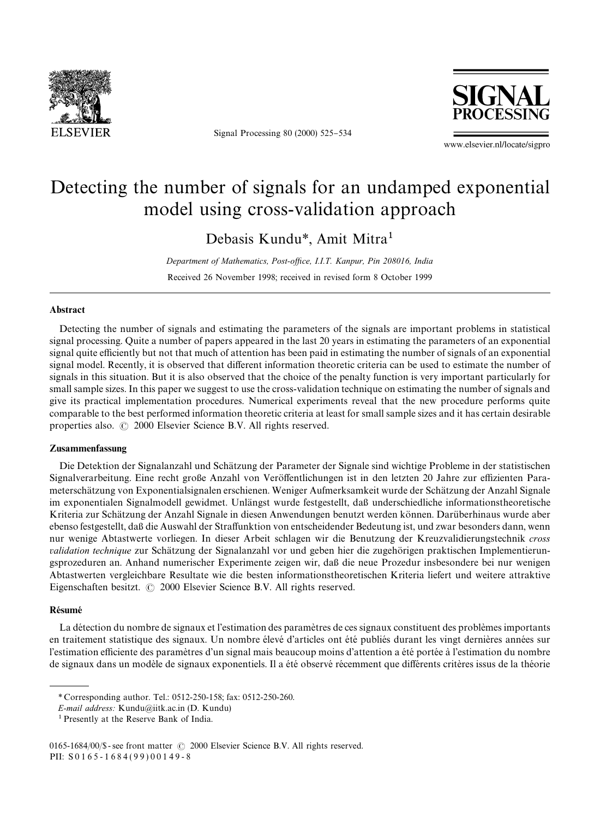

Signal Processing 80 (2000) 525-534



www.elsevier.nl/locate/sigpro

# Detecting the number of signals for an undamped exponential model using cross-validation approach

Debasis Kundu*\**, Amit Mitra1

*Department of Mathematics, Post-o*z*ce, I.I.T. Kanpur, Pin 208016, India* Received 26 November 1998; received in revised form 8 October 1999

#### Abstract

Detecting the number of signals and estimating the parameters of the signals are important problems in statistical signal processing. Quite a number of papers appeared in the last 20 years in estimating the parameters of an exponential signal quite efficiently but not that much of attention has been paid in estimating the number of signals of an exponential signal model. Recently, it is observed that different information theoretic criteria can be used to estimate the number of signals in this situation. But it is also observed that the choice of the penalty function is very important particularly for small sample sizes. In this paper we suggest to use the cross-validation technique on estimating the number of signals and give its practical implementation procedures. Numerical experiments reveal that the new procedure performs quite comparable to the best performed information theoretic criteria at least for small sample sizes and it has certain desirable properties also.  $\odot$  2000 Elsevier Science B.V. All rights reserved.

#### Zusammenfassung

Die Detektion der Signalanzahl und Schätzung der Parameter der Signale sind wichtige Probleme in der statistischen Signalverarbeitung. Eine recht große Anzahl von Veröffentlichungen ist in den letzten 20 Jahre zur effizienten Parameterschätzung von Exponentialsignalen erschienen. Weniger Aufmerksamkeit wurde der Schätzung der Anzahl Signale im exponentialen Signalmodell gewidmet. Unlängst wurde festgestellt, daß underschiedliche informationstheoretische Kriteria zur Schätzung der Anzahl Signale in diesen Anwendungen benutzt werden können. Darüberhinaus wurde aber ebenso festgestellt, daß die Auswahl der Straffunktion von entscheidender Bedeutung ist, und zwar besonders dann, wenn nur wenige Abtastwerte vorliegen. In dieser Arbeit schlagen wir die Benutzung der Kreuzvalidierungstechnik *cross* validation technique zur Schätzung der Signalanzahl vor und geben hier die zugehörigen praktischen Implementierungsprozeduren an. Anhand numerischer Experimente zeigen wir, da{ die neue Prozedur insbesondere bei nur wenigen Abtastwerten vergleichbare Resultate wie die besten informationstheoretischen Kriteria liefert und weitere attraktive Eigenschaften besitzt.  $\odot$  2000 Elsevier Science B.V. All rights reserved.

#### Résumé

La détection du nombre de signaux et l'estimation des paramètres de ces signaux constituent des problèmes importants en traitement statistique des signaux. Un nombre élevé d'articles ont été publiés durant les vingt dernières années sur l'estimation efficiente des paramètres d'un signal mais beaucoup moins d'attention a été portée à l'estimation du nombre de signaux dans un modèle de signaux exponentiels. Il a été observé récemment que différents critères issus de la théorie

*<sup>\*</sup>* Corresponding author. Tel.: 0512-250-158; fax: 0512-250-260.

*E-mail address:* Kundu@iitk.ac.in (D. Kundu)

<sup>1</sup>Presently at the Reserve Bank of India.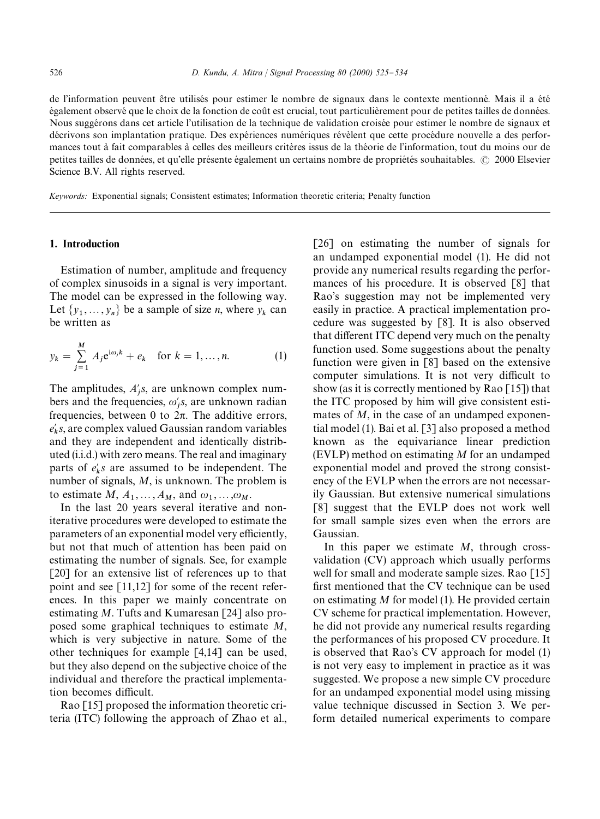de l'information peuvent être utilisés pour estimer le nombre de signaux dans le contexte mentionné. Mais il a été également observé que le choix de la fonction de coût est crucial, tout particulièrement pour de petites tailles de données. Nous suggérons dans cet article l'utilisation de la technique de validation croisée pour estimer le nombre de signaux et décrivons son implantation pratique. Des expériences numériques révèlent que cette procédure nouvelle a des performances tout à fait comparables à celles des meilleurs critères issus de la théorie de l'information, tout du moins our de petites tailles de données, et qu'elle présente également un certains nombre de propriétés souhaitables.  $\odot$  2000 Elsevier Science B.V. All rights reserved.

*Keywords:* Exponential signals; Consistent estimates; Information theoretic criteria; Penalty function

#### 1. Introduction

Estimation of number, amplitude and frequency of complex sinusoids in a signal is very important. The model can be expressed in the following way. Let  $\{y_1, \ldots, y_n\}$  be a sample of size *n*, where  $y_k$  can be written as

$$
y_k = \sum_{j=1}^{M} A_j e^{i\omega_j k} + e_k \quad \text{for } k = 1, ..., n.
$$
 (1)

The amplitudes,  $A'_j$ s, are unknown complex numbers and the frequencies,  $\omega_j$ 's, are unknown radian frequencies, between 0 to  $2\pi$ . The additive errors,  $e'_k$ s, are complex valued Gaussian random variables and they are independent and identically distributed (i.i.d.) with zero means. The real and imaginary parts of  $e'_k s$  are assumed to be independent. The number of signals, *M*, is unknown. The problem is to estimate  $M$ ,  $A_1$ ,  $\ldots$ ,  $A_M$ , and  $\omega_1$ ,  $\ldots$ ,  $\omega_M$ .

In the last 20 years several iterative and noniterative procedures were developed to estimate the parameters of an exponential model very efficiently, but not that much of attention has been paid on estimating the number of signals. See, for example [20] for an extensive list of references up to that point and see [11,12] for some of the recent references. In this paper we mainly concentrate on estimating *M*. Tufts and Kumaresan [24] also proposed some graphical techniques to estimate *M*, which is very subjective in nature. Some of the other techniques for example [4,14] can be used, but they also depend on the subjective choice of the individual and therefore the practical implementation becomes difficult.

Rao [15] proposed the information theoretic criteria (ITC) following the approach of Zhao et al., [26] on estimating the number of signals for an undamped exponential model (1). He did not provide any numerical results regarding the performances of his procedure. It is observed [8] that Rao's suggestion may not be implemented very easily in practice. A practical implementation procedure was suggested by [8]. It is also observed that different ITC depend very much on the penalty function used. Some suggestions about the penalty function were given in [8] based on the extensive computer simulations. It is not very difficult to show (as it is correctly mentioned by Rao  $\lceil 15 \rceil$ ) that the ITC proposed by him will give consistent estimates of *M*, in the case of an undamped exponential model (1). Bai et al. [3] also proposed a method known as the equivariance linear prediction (EVLP) method on estimating *M* for an undamped exponential model and proved the strong consistency of the EVLP when the errors are not necessarily Gaussian. But extensive numerical simulations [8] suggest that the EVLP does not work well for small sample sizes even when the errors are Gaussian.

In this paper we estimate *M*, through crossvalidation (CV) approach which usually performs well for small and moderate sample sizes. Rao [15] first mentioned that the CV technique can be used on estimating *M* for model (1). He provided certain CV scheme for practical implementation. However, he did not provide any numerical results regarding the performances of his proposed CV procedure. It is observed that Rao's CV approach for model (1) is not very easy to implement in practice as it was suggested. We propose a new simple CV procedure for an undamped exponential model using missing value technique discussed in Section 3. We perform detailed numerical experiments to compare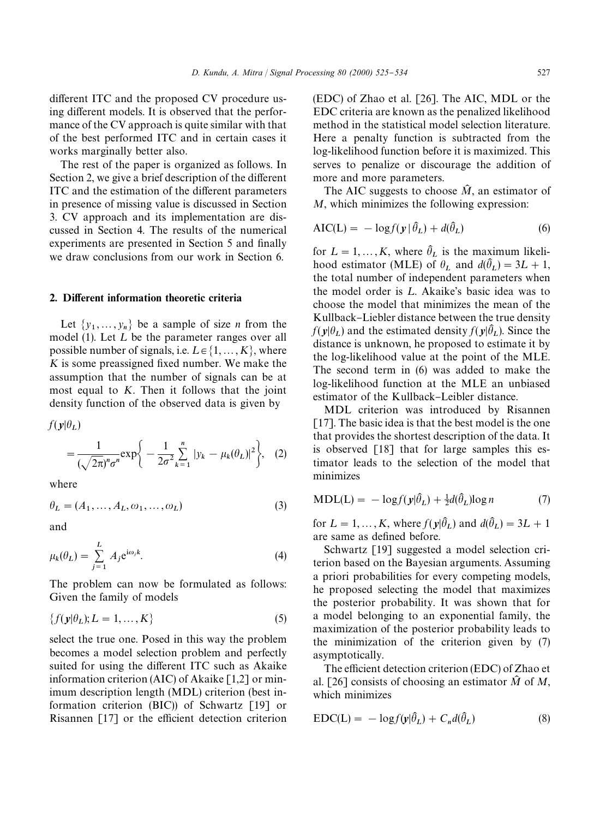different ITC and the proposed CV procedure using different models. It is observed that the performance of the CV approach is quite similar with that of the best performed ITC and in certain cases it works marginally better also.

The rest of the paper is organized as follows. In Section 2, we give a brief description of the different ITC and the estimation of the different parameters in presence of missing value is discussed in Section 3. CV approach and its implementation are discussed in Section 4. The results of the numerical experiments are presented in Section 5 and finally we draw conclusions from our work in Section 6.

#### 2. Different information theoretic criteria

Let  $\{y_1, \ldots, y_n\}$  be a sample of size *n* from the model (1). Let  $L$  be the parameter ranges over all possible number of signals, i.e.  $L \in \{1, ..., K\}$ , where  $K$  is some preassigned fixed number. We make the assumption that the number of signals can be at most equal to *K*. Then it follows that the joint density function of the observed data is given by

 $f(\mathbf{y}|\theta_L)$ 

$$
= \frac{1}{(\sqrt{2\pi})^n \sigma^n} \exp\bigg\{-\frac{1}{2\sigma^2} \sum_{k=1}^n |y_k - \mu_k(\theta_L)|^2\bigg\}, \quad (2)
$$

where

$$
\theta_L = (A_1, \dots, A_L, \omega_1, \dots, \omega_L) \tag{3}
$$

and

$$
\mu_k(\theta_L) = \sum_{j=1}^L A_j e^{i\omega_j k}.
$$
\n(4)

The problem can now be formulated as follows: Given the family of models

$$
\{f(\mathbf{y}|\theta_L); L = 1, \dots, K\}
$$
 (5)

select the true one. Posed in this way the problem becomes a model selection problem and perfectly suited for using the different ITC such as Akaike information criterion (AIC) of Akaike [1,2] or minimum description length (MDL) criterion (best information criterion (BIC)) of Schwartz [19] or Risannen  $[17]$  or the efficient detection criterion

(EDC) of Zhao et al. [26]. The AIC, MDL or the EDC criteria are known as the penalized likelihood method in the statistical model selection literature. Here a penalty function is subtracted from the log-likelihood function before it is maximized. This serves to penalize or discourage the addition of more and more parameters.

The AIC suggests to choose  $\hat{M}$ , an estimator of *M*, which minimizes the following expression:

$$
AIC(L) = -\log f(\mathbf{y} | \hat{\theta}_L) + d(\hat{\theta}_L)
$$
 (6)

for  $L = 1, ..., K$ , where  $\hat{\theta}_L$  is the maximum likelihood estimator (MLE) of  $\theta_L$  and  $d(\hat{\theta}_L) = 3L + 1$ , the total number of independent parameters when the model order is  $L$ . Akaike's basic idea was to choose the model that minimizes the mean of the Kullback–Liebler distance between the true density  $f(\mathbf{y}|\theta_L)$  and the estimated density  $f(\mathbf{y}|\theta_L)$ . Since the distance is unknown, he proposed to estimate it by the log-likelihood value at the point of the MLE. The second term in (6) was added to make the log-likelihood function at the MLE an unbiased estimator of the Kullback–Leibler distance.

MDL criterion was introduced by Risannen [17]. The basic idea is that the best model is the one that provides the shortest description of the data. It is observed [18] that for large samples this estimator leads to the selection of the model that minimizes

$$
MDL(L) = -\log f(\mathbf{y}|\hat{\theta}_L) + \frac{1}{2}d(\hat{\theta}_L)\log n \tag{7}
$$

for  $L = 1, ..., K$ , where  $f(\mathbf{y}|\hat{\theta}_L)$  and  $d(\hat{\theta}_L) = 3L + 1$ are same as defined before.

Schwartz [19] suggested a model selection criterion based on the Bayesian arguments. Assuming a priori probabilities for every competing models, he proposed selecting the model that maximizes the posterior probability. It was shown that for a model belonging to an exponential family, the maximization of the posterior probability leads to the minimization of the criterion given by (7) asymptotically.

The efficient detection criterion (EDC) of Zhao et al. [26] consists of choosing an estimator  $\hat{M}$  of *M*, which minimizes

$$
EDC(L) = -\log f(\mathbf{y}|\hat{\theta}_L) + C_n d(\hat{\theta}_L)
$$
\n(8)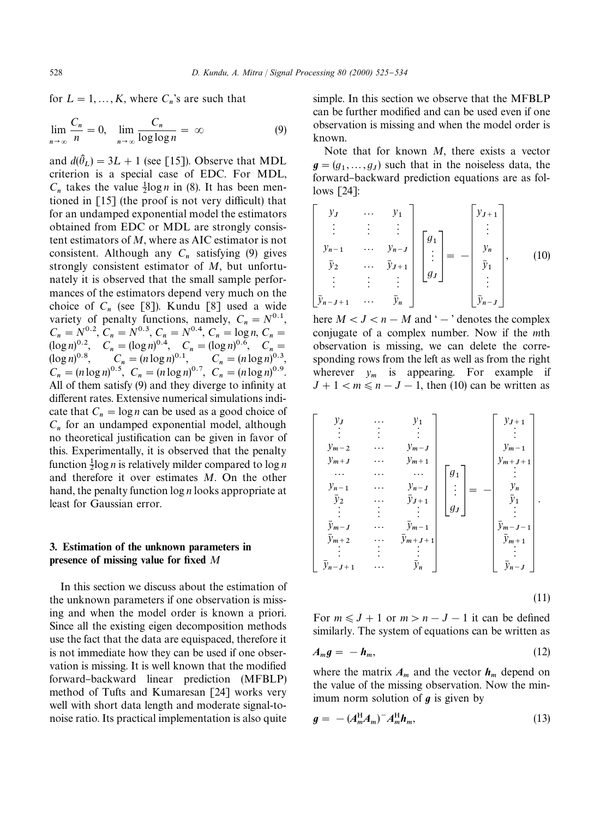for  $L = 1, ..., K$ , where  $C_n$ 's are such that

$$
\lim_{n \to \infty} \frac{C_n}{n} = 0, \quad \lim_{n \to \infty} \frac{C_n}{\log \log n} = \infty \tag{9}
$$

and  $d(\hat{\theta}_L) = 3L + 1$  (see [15]). Observe that MDL criterion is a special case of EDC. For MDL,  $C_n$  takes the value  $\frac{1}{2} \log n$  in (8). It has been mentioned in  $\lceil 15 \rceil$  (the proof is not very difficult) that for an undamped exponential model the estimators obtained from EDC or MDL are strongly consistent estimators of *M*, where as AIC estimator is not consistent. Although any  $C_n$  satisfying (9) gives strongly consistent estimator of *M*, but unfortunately it is observed that the small sample performances of the estimators depend very much on the choice of  $C_n$  (see [8]). Kundu [8] used a wide variety of penalty functions, namely,  $C_n = N^{0.1}$ ,  $C_n = N^{0.2}, \ \ \bar{C}_n = N^{0.3}, \ \ \bar{C}_n = N^{0.4}, \ \ \bar{C}_n = \log n, \ \ \bar{C}_n = N^{0.4}$  $(\log n)^{0.2}, C_n = (\log n)^{0.4}, C_n = (\log n)^{0.6}, C_n =$  $(C_n = (n \log n)^{0.1}, \quad C_n = (n \log n)^{0.1}, \quad C_n = (n \log n)^{0.3},$  $C_n = (n \log n)^{0.5}, C_n = (n \log n)^{0.7}, C_n = (n \log n)^{0.9}.$ All of them satisfy (9) and they diverge to infinity at different rates. Extensive numerical simulations indicate that  $C_n = \log n$  can be used as a good choice of  $C_n$  for an undamped exponential model, although no theoretical justification can be given in favor of this. Experimentally, it is observed that the penalty function 1 log *n* is relatively milder compared to log *n* and therefore it over estimates *M*. On the other hand, the penalty function log *n* looks appropriate at least for Gaussian error.

### 3. Estimation of the unknown parameters in presence of missing value for fixed M

In this section we discuss about the estimation of the unknown parameters if one observation is missing and when the model order is known a priori. Since all the existing eigen decomposition methods use the fact that the data are equispaced, therefore it is not immediate how they can be used if one observation is missing. It is well known that the modified forward}backward linear prediction (MFBLP) method of Tufts and Kumaresan [24] works very well with short data length and moderate signal-tonoise ratio. Its practical implementation is also quite

simple. In this section we observe that the MFBLP can be further modified and can be used even if one observation is missing and when the model order is known.

Note that for known *M*, there exists a vector  $g = (g_1, \ldots, g_J)$  such that in the noiseless data, the forward-backward prediction equations are as follows [24]:

$$
\begin{bmatrix}\ny_j & \cdots & y_1 \\
\vdots & \vdots & \vdots \\
y_{n-1} & \cdots & y_{n-J} \\
\bar{y}_2 & \cdots & \bar{y}_{J+1} \\
\vdots & \vdots & \vdots \\
\bar{y}_{n-J+1} & \cdots & \bar{y}_n\n\end{bmatrix}\n\begin{bmatrix}\ng_1 \\
\vdots \\
g_J\n\end{bmatrix} = -\n\begin{bmatrix}\ny_{J+1} \\
\vdots \\
y_n \\
\bar{y}_1 \\
\vdots \\
\bar{y}_{n-J}\n\end{bmatrix},\n\quad (10)
$$

here  $M < J < n - M$  and ' $\rightarrow$ ' denotes the complex conjugate of a complex number. Now if the *m*th observation is missing, we can delete the corresponding rows from the left as well as from the right wherever  $y_m$  is appearing. For example if  $J + 1 < m \le n - J - 1$ , then (10) can be written as

$$
\begin{bmatrix}\ny_J & \cdots & y_1 \\
\vdots & \vdots & \vdots \\
y_{m-2} & \cdots & y_{m-J} \\
y_{m+J} & \cdots & y_{m+1} \\
\cdots & \cdots & \cdots \\
y_{n-1} & \cdots & y_{n-J} \\
\overline{y}_2 & \cdots & \overline{y}_{J+1} \\
\vdots & \vdots & \vdots \\
\overline{y}_{m-J} & \cdots & \overline{y}_{m+1} \\
\vdots & \vdots & \vdots \\
\overline{y}_{m-J} & \cdots & \overline{y}_{m+J+1} \\
\vdots & \vdots & \vdots \\
\overline{y}_{n-J+1} & \cdots & \overline{y}_n\n\end{bmatrix}\n\begin{bmatrix}\ny_{J+1} \\
\vdots \\
y_{J+1} \\
\vdots \\
y_{J+1} \\
\overline{y}_{m+1} \\
\vdots \\
\overline{y}_{m-J-1} \\
\vdots \\
\overline{y}_{n-J}\n\end{bmatrix}.
$$

(11)

For  $m \leq J + 1$  or  $m > n - J - 1$  it can be defined similarly. The system of equations can be written as

$$
A_m g = -h_m, \tag{12}
$$

where the matrix  $A_m$  and the vector  $h_m$  depend on the value of the missing observation. Now the minimum norm solution of  $q$  is given by

$$
g = - (A_m^{\mathrm{H}} A_m)^{-} A_m^{\mathrm{H}} h_m, \tag{13}
$$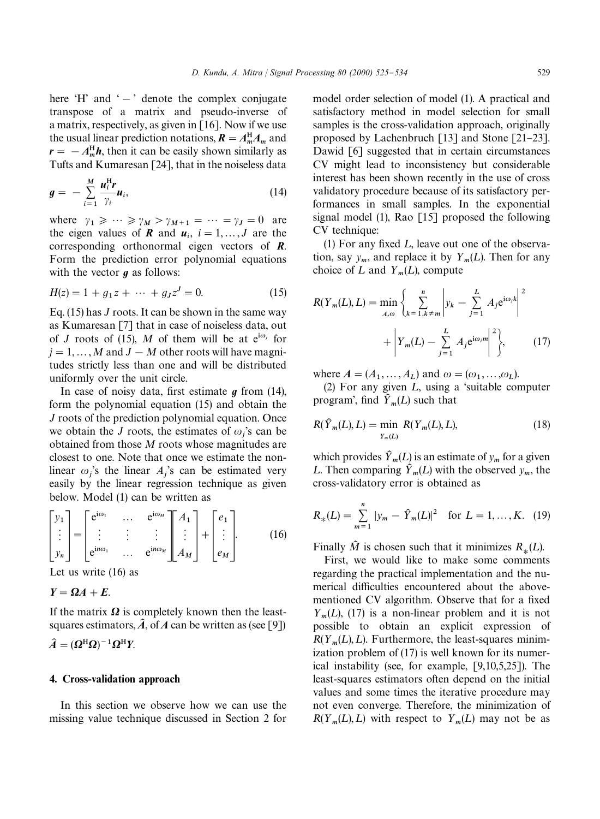here 'H' and ' $-$ ' denote the complex conjugate transpose of a matrix and pseudo-inverse of a matrix, respectively, as given in  $[16]$ . Now if we use the usual linear prediction notations,  $\mathbf{R} = A_{m}^{H} A_{m}$  and  $r = -A_m^H h$ , then it can be easily shown similarly as Tufts and Kumaresan [24], that in the noiseless data

$$
g = -\sum_{i=1}^{M} \frac{u_i^{\mathrm{H}} r}{\gamma_i} u_i, \qquad (14)
$$

where  $\gamma_1 \geqslant \cdots \geqslant \gamma_M > \gamma_{M+1} = \cdots = \gamma_J = 0$  are the eigen values of *R* and  $u_i$ ,  $i = 1,..., J$  are the corresponding orthonormal eigen vectors of *R*. Form the prediction error polynomial equations with the vector  $q$  as follows:

$$
H(z) = 1 + g_1 z + \dots + g_J z^J = 0.
$$
 (15)

Eq. (15) has *J* roots. It can be shown in the same way as Kumaresan [7] that in case of noiseless data, out of *J* roots of (15), *M* of them will be at  $e^{i\omega_j}$  for  $j = 1, \ldots, M$  and  $J - M$  other roots will have magnitudes strictly less than one and will be distributed uniformly over the unit circle.

In case of noisy data, first estimate  $g$  from (14), form the polynomial equation (15) and obtain the *J* roots of the prediction polynomial equation. Once we obtain the *J* roots, the estimates of  $\omega_j$ 's can be obtained from those *M* roots whose magnitudes are closest to one. Note that once we estimate the nonlinear  $\omega_j$ 's the linear  $A_j$ 's can be estimated very easily by the linear regression technique as given below. Model (1) can be written as

$$
\begin{bmatrix} y_1 \\ \vdots \\ y_n \end{bmatrix} = \begin{bmatrix} e^{i\omega_1} & \cdots & e^{i\omega_M} \\ \vdots & \vdots & \vdots \\ e^{i\omega_0} & \cdots & e^{i\omega_M} \end{bmatrix} \begin{bmatrix} A_1 \\ \vdots \\ A_M \end{bmatrix} + \begin{bmatrix} e_1 \\ \vdots \\ e_M \end{bmatrix}.
$$
 (16)

Let us write (16) as

$$
Y=\Omega A+E.
$$

If the matrix  $\Omega$  is completely known then the leastsquares estimators,  $\hat{A}$ , of *A* can be written as (see [9])

 $\hat{A} = (\Omega^{\rm H} \Omega)^{-1} \Omega^{\rm H} Y$ .

#### 4. Cross-validation approach

In this section we observe how we can use the missing value technique discussed in Section 2 for model order selection of model (1). A practical and satisfactory method in model selection for small samples is the cross-validation approach, originally proposed by Lachenbruch [13] and Stone [21-23]. Dawid [6] suggested that in certain circumstances CV might lead to inconsistency but considerable interest has been shown recently in the use of cross validatory procedure because of its satisfactory performances in small samples. In the exponential signal model  $(1)$ , Rao [15] proposed the following CV technique:

(1) For any fixed  $L$ , leave out one of the observation, say  $y_m$ , and replace it by  $Y_m(L)$ . Then for any choice of L and  $Y_m(L)$ , compute

$$
R(Y_m(L), L) = \min_{A, \omega} \left\{ \sum_{k=1, k \neq m}^{n} \left| y_k - \sum_{j=1}^{L} A_j e^{i\omega_j k} \right|^2 + \left| Y_m(L) - \sum_{j=1}^{L} A_j e^{i\omega_j m} \right|^2 \right\},
$$
 (17)

where  $A = (A_1, \dots, A_L)$  and  $\omega = (\omega_1, \dots, \omega_L)$ .

(2) For any given  $L$ , using a 'suitable computer program', find  $\hat{Y}_m(L)$  such that

$$
R(\hat{Y}_m(L), L) = \min_{Y_m(L)} R(Y_m(L), L),
$$
\n(18)

which provides  $\hat{Y}_m(L)$  is an estimate of  $y_m$  for a given L. Then comparing  $\hat{Y}_m(L)$  with the observed  $y_m$ , the cross-validatory error is obtained as

$$
R_*(L) = \sum_{m=1}^n |y_m - \hat{Y}_m(L)|^2 \quad \text{for } L = 1, ..., K. \tag{19}
$$

Finally  $\hat{M}$  is chosen such that it minimizes  $R_*(L)$ .

First, we would like to make some comments regarding the practical implementation and the numerical difficulties encountered about the abovementioned CV algorithm. Observe that for a fixed  $Y_m(L)$ , (17) is a non-linear problem and it is not possible to obtain an explicit expression of  $R(Y_m(L), L)$ . Furthermore, the least-squares minimization problem of (17) is well known for its numerical instability (see, for example, [9,10,5,25]). The least-squares estimators often depend on the initial values and some times the iterative procedure may not even converge. Therefore, the minimization of  $R(Y_m(L), L)$  with respect to  $Y_m(L)$  may not be as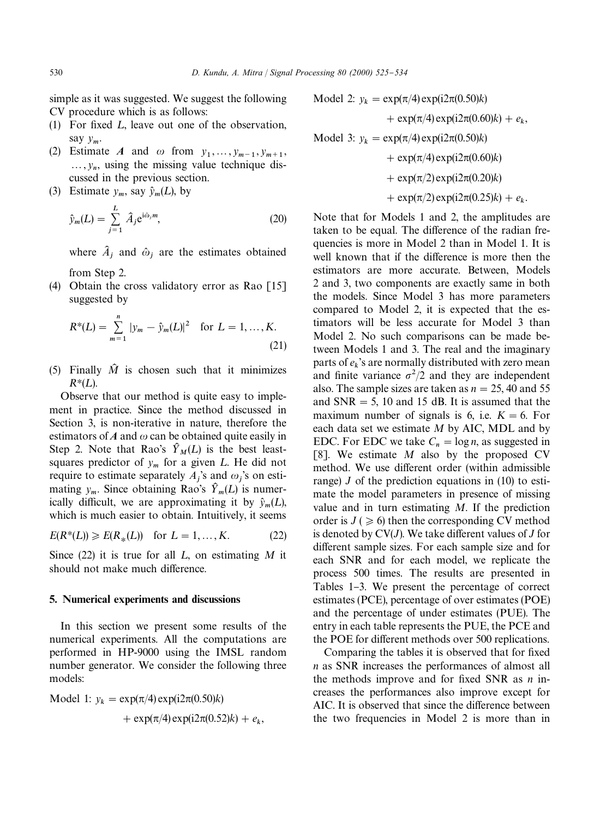simple as it was suggested. We suggest the following CV procedure which is as follows:

- (1) For fixed  $L$ , leave out one of the observation, say *y* m.
- (2) Estimate *A* and  $\omega$  from  $y_1, \ldots, y_{m-1}, y_{m+1}$ ,  $..., y_n$ , using the missing value technique discussed in the previous section.
- (3) Estimate  $y_m$ , say  $\hat{y}_m(L)$ , by

$$
\hat{y}_m(L) = \sum_{j=1}^L \hat{A}_j e^{i\hat{\omega}_j m},
$$
\n(20)

where  $\hat{A}_j$  and  $\hat{\omega}_j$  are the estimates obtained

from Step 2.

(4) Obtain the cross validatory error as Rao [15] suggested by

$$
R^*(L) = \sum_{m=1}^n |y_m - \hat{y}_m(L)|^2 \quad \text{for } L = 1, ..., K.
$$
\n(21)

(5) Finally  $\hat{M}$  is chosen such that it minimizes  $R^*(L)$ .

Observe that our method is quite easy to implement in practice. Since the method discussed in Section 3, is non-iterative in nature, therefore the estimators of  $A$  and  $\omega$  can be obtained quite easily in Step 2. Note that Rao's  $\hat{Y}_M(L)$  is the best leastsquares predictor of  $y_m$  for a given  $L$ . He did not require to estimate separately  $A_j$ 's and  $\omega_j$ 's on estimating  $y_m$ . Since obtaining Rao's  $\hat{Y}_m(L)$  is numerically difficult, we are approximating it by  $\hat{y}_m(L)$ , which is much easier to obtain. Intuitively, it seems

$$
E(R^*(L)) \ge E(R_*(L))
$$
 for  $L = 1, ..., K$ . (22)

Since  $(22)$  it is true for all L, on estimating M it should not make much difference.

#### 5. Numerical experiments and discussions

In this section we present some results of the numerical experiments. All the computations are performed in HP-9000 using the IMSL random number generator. We consider the following three models:

Model 1: 
$$
y_k = \exp(\pi/4) \exp(i2\pi(0.50)k)
$$
  
+  $\exp(\pi/4) \exp(i2\pi(0.52)k) + e_k$ ,

Model 2: 
$$
y_k = \exp(\pi/4) \exp(i2\pi(0.50)k)
$$
  
+  $\exp(\pi/4) \exp(i2\pi(0.60)k) + e_k$ ,  
Model 3:  $y_k = \exp(\pi/4) \exp(i2\pi(0.50)k)$   
+  $\exp(\pi/4) \exp(i2\pi(0.60)k)$   
+  $\exp(\pi/2) \exp(i2\pi(0.20)k)$   
+  $\exp(\pi/2) \exp(i2\pi(0.25)k) + e_k$ .

Note that for Models 1 and 2, the amplitudes are taken to be equal. The difference of the radian frequencies is more in Model 2 than in Model 1. It is well known that if the difference is more then the estimators are more accurate. Between, Models 2 and 3, two components are exactly same in both the models. Since Model 3 has more parameters compared to Model 2, it is expected that the estimators will be less accurate for Model 3 than Model 2. No such comparisons can be made between Models 1 and 3. The real and the imaginary parts of  $e_k$ 's are normally distributed with zero mean and finite variance  $\sigma^2/2$  and they are independent also. The sample sizes are taken as  $n = 25$ , 40 and 55 and  $SNR = 5$ , 10 and 15 dB. It is assumed that the maximum number of signals is 6, i.e.  $K = 6$ . For each data set we estimate *M* by AIC, MDL and by EDC. For EDC we take  $C_n = \log n$ , as suggested in [8]. We estimate *M* also by the proposed CV method. We use different order (within admissible range)  $J$  of the prediction equations in (10) to estimate the model parameters in presence of missing value and in turn estimating *M*. If the prediction order is  $J \geq 6$ ) then the corresponding CV method is denoted by  $CV(J)$ . We take different values of  $J$  for different sample sizes. For each sample size and for each SNR and for each model, we replicate the process 500 times. The results are presented in Tables 1–3. We present the percentage of correct estimates (PCE), percentage of over estimates (POE) and the percentage of under estimates (PUE). The entry in each table represents the PUE, the PCE and the POE for different methods over 500 replications.

Comparing the tables it is observed that for fixed *n* as SNR increases the performances of almost all the methods improve and for fixed SNR as  $n$  increases the performances also improve except for AIC. It is observed that since the difference between the two frequencies in Model 2 is more than in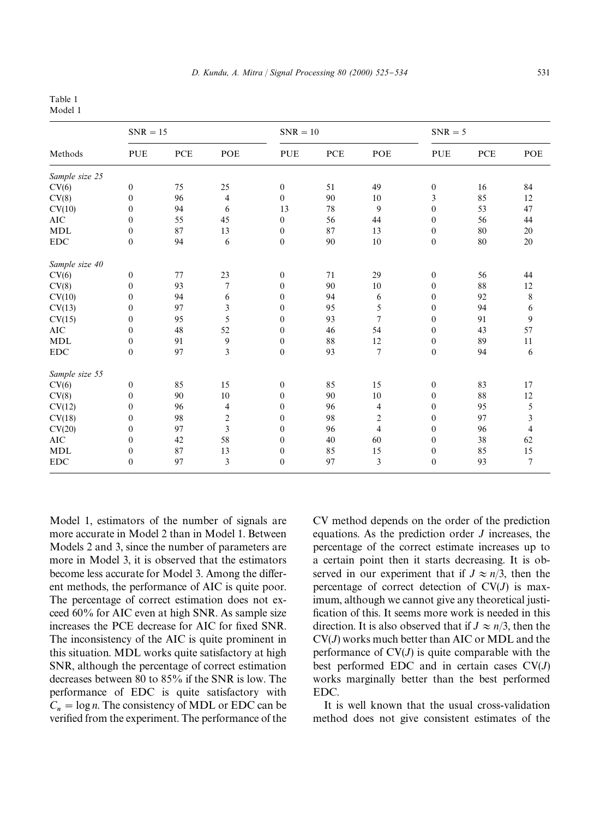# Table 1

Model 1

| Methods        | $SNR = 15$       |            |                         | $SNR = 10$       |            |                | $SNR = 5$        |             |        |
|----------------|------------------|------------|-------------------------|------------------|------------|----------------|------------------|-------------|--------|
|                | <b>PUE</b>       | <b>PCE</b> | POE                     | <b>PUE</b>       | <b>PCE</b> | POE            | <b>PUE</b>       | ${\bf PCE}$ | POE    |
| Sample size 25 |                  |            |                         |                  |            |                |                  |             |        |
| CV(6)          | $\boldsymbol{0}$ | 75         | 25                      | $\mathbf{0}$     | 51         | 49             | $\boldsymbol{0}$ | 16          | 84     |
| CV(8)          | $\mathbf{0}$     | 96         | 4                       | $\mathbf{0}$     | 90         | 10             | 3                | 85          | 12     |
| CV(10)         | $\boldsymbol{0}$ | 94         | 6                       | 13               | 78         | 9              | $\mathbf{0}$     | 53          | 47     |
| <b>AIC</b>     | $\mathbf{0}$     | 55         | 45                      | $\mathbf{0}$     | 56         | 44             | $\mathbf{0}$     | 56          | 44     |
| <b>MDL</b>     | $\boldsymbol{0}$ | 87         | 13                      | $\mathbf{0}$     | 87         | 13             | $\mathbf{0}$     | 80          | 20     |
| ${\rm EDC}$    | $\boldsymbol{0}$ | 94         | 6                       | $\boldsymbol{0}$ | 90         | 10             | $\boldsymbol{0}$ | 80          | $20\,$ |
| Sample size 40 |                  |            |                         |                  |            |                |                  |             |        |
| CV(6)          | $\boldsymbol{0}$ | 77         | 23                      | $\mathbf{0}$     | 71         | 29             | $\boldsymbol{0}$ | 56          | 44     |
| CV(8)          | $\mathbf{0}$     | 93         | 7                       | $\mathbf{0}$     | 90         | 10             | $\mathbf{0}$     | 88          | 12     |
| CV(10)         | $\boldsymbol{0}$ | 94         | 6                       | $\mathbf{0}$     | 94         | 6              | $\mathbf{0}$     | 92          | 8      |
| CV(13)         | $\boldsymbol{0}$ | 97         | 3                       | $\mathbf{0}$     | 95         | 5              | $\boldsymbol{0}$ | 94          | 6      |
| CV(15)         | $\mathbf{0}$     | 95         | 5                       | $\mathbf{0}$     | 93         | 7              | $\mathbf{0}$     | 91          | 9      |
| $\rm AIC$      | $\boldsymbol{0}$ | 48         | 52                      | $\mathbf{0}$     | 46         | 54             | $\mathbf{0}$     | 43          | 57     |
| MDL            | $\boldsymbol{0}$ | 91         | 9                       | $\boldsymbol{0}$ | 88         | 12             | $\boldsymbol{0}$ | 89          | 11     |
| <b>EDC</b>     | $\boldsymbol{0}$ | 97         | $\mathfrak{Z}$          | $\mathbf{0}$     | 93         | $\overline{7}$ | $\boldsymbol{0}$ | 94          | 6      |
| Sample size 55 |                  |            |                         |                  |            |                |                  |             |        |
| CV(6)          | $\boldsymbol{0}$ | 85         | 15                      | $\mathbf{0}$     | 85         | 15             | $\boldsymbol{0}$ | 83          | 17     |
| CV(8)          | $\boldsymbol{0}$ | 90         | 10                      | $\mathbf{0}$     | 90         | 10             | $\boldsymbol{0}$ | 88          | 12     |
| CV(12)         | $\boldsymbol{0}$ | 96         | 4                       | $\Omega$         | 96         | 4              | $\mathbf{0}$     | 95          | 5      |
| CV(18)         | $\boldsymbol{0}$ | 98         | $\overline{c}$          | $\mathbf{0}$     | 98         | 2              | $\mathbf{0}$     | 97          | 3      |
| CV(20)         | $\boldsymbol{0}$ | 97         | $\overline{\mathbf{3}}$ | $\mathbf{0}$     | 96         | $\overline{4}$ | $\mathbf{0}$     | 96          | 4      |
| $\rm AIC$      | $\boldsymbol{0}$ | 42         | 58                      | $\Omega$         | 40         | 60             | $\mathbf{0}$     | 38          | 62     |
| <b>MDL</b>     | $\boldsymbol{0}$ | 87         | 13                      | $\mathbf{0}$     | 85         | 15             | $\boldsymbol{0}$ | 85          | 15     |
| <b>EDC</b>     | $\boldsymbol{0}$ | 97         | 3                       | $\mathbf{0}$     | 97         | 3              | $\mathbf{0}$     | 93          | $\tau$ |

Model 1, estimators of the number of signals are more accurate in Model 2 than in Model 1. Between Models 2 and 3, since the number of parameters are more in Model 3, it is observed that the estimators become less accurate for Model 3. Among the different methods, the performance of AIC is quite poor. The percentage of correct estimation does not exceed 60% for AIC even at high SNR. As sample size increases the PCE decrease for AIC for fixed SNR. The inconsistency of the AIC is quite prominent in this situation. MDL works quite satisfactory at high SNR, although the percentage of correct estimation decreases between 80 to 85% if the SNR is low. The performance of EDC is quite satisfactory with  $C_n = \log n$ . The consistency of MDL or EDC can be verified from the experiment. The performance of the

CV method depends on the order of the prediction equations. As the prediction order *J* increases, the percentage of the correct estimate increases up to a certain point then it starts decreasing. It is observed in our experiment that if  $J \approx n/3$ , then the percentage of correct detection of CV(*J*) is maximum, although we cannot give any theoretical justi fication of this. It seems more work is needed in this direction. It is also observed that if  $J \approx n/3$ , then the CV(*J*) works much better than AIC or MDL and the performance of  $CV(J)$  is quite comparable with the best performed EDC and in certain cases CV(*J*) works marginally better than the best performed EDC.

It is well known that the usual cross-validation method does not give consistent estimates of the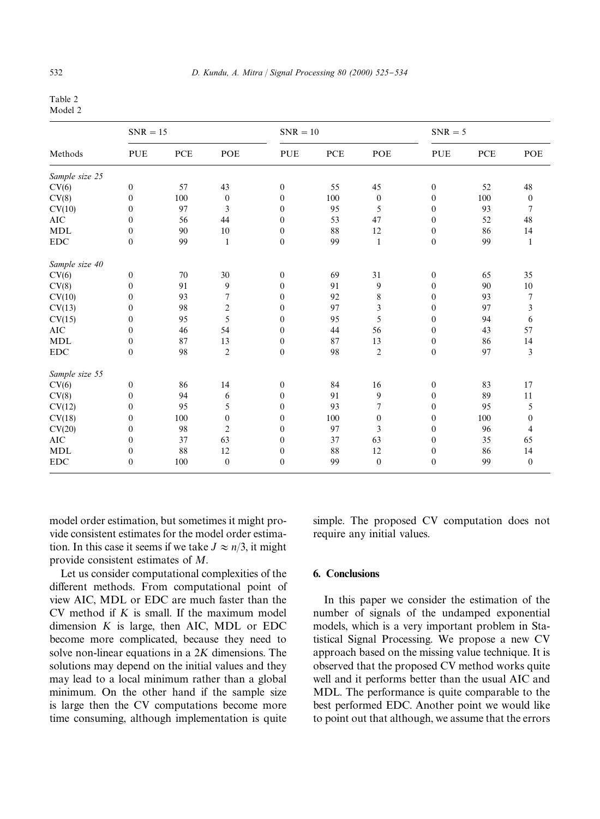Table 2 Model 2

| Methods        | $SNR = 15$       |            |                  | $SNR = 10$   |            |                | $SNR = 5$        |            |                  |
|----------------|------------------|------------|------------------|--------------|------------|----------------|------------------|------------|------------------|
|                | <b>PUE</b>       | <b>PCE</b> | POE              | <b>PUE</b>   | <b>PCE</b> | POE            | <b>PUE</b>       | <b>PCE</b> | POE              |
| Sample size 25 |                  |            |                  |              |            |                |                  |            |                  |
| CV(6)          | $\boldsymbol{0}$ | 57         | 43               | $\mathbf{0}$ | 55         | 45             | $\boldsymbol{0}$ | 52         | 48               |
| CV(8)          | $\boldsymbol{0}$ | 100        | $\boldsymbol{0}$ | $\mathbf{0}$ | 100        | $\mathbf{0}$   | $\mathbf{0}$     | 100        | $\boldsymbol{0}$ |
| CV(10)         | $\boldsymbol{0}$ | 97         | 3                | $\mathbf{0}$ | 95         | 5              | $\mathbf{0}$     | 93         | 7                |
| <b>AIC</b>     | $\boldsymbol{0}$ | 56         | 44               | $\mathbf{0}$ | 53         | 47             | $\mathbf{0}$     | 52         | 48               |
| <b>MDL</b>     | $\boldsymbol{0}$ | 90         | 10               | $\mathbf{0}$ | 88         | 12             | $\mathbf{0}$     | 86         | 14               |
| <b>EDC</b>     | $\boldsymbol{0}$ | 99         | $\mathbf{1}$     | $\mathbf{0}$ | 99         | $\mathbf{1}$   | $\boldsymbol{0}$ | 99         | $\mathbf{1}$     |
| Sample size 40 |                  |            |                  |              |            |                |                  |            |                  |
| CV(6)          | $\boldsymbol{0}$ | 70         | 30               | $\mathbf{0}$ | 69         | 31             | $\boldsymbol{0}$ | 65         | 35               |
| CV(8)          | $\boldsymbol{0}$ | 91         | 9                | $\mathbf{0}$ | 91         | 9              | $\mathbf{0}$     | 90         | 10               |
| CV(10)         | $\boldsymbol{0}$ | 93         | 7                | $\mathbf{0}$ | 92         | 8              | $\mathbf{0}$     | 93         | 7                |
| CV(13)         | $\boldsymbol{0}$ | 98         | $\overline{c}$   | $\mathbf{0}$ | 97         | 3              | $\mathbf{0}$     | 97         | 3                |
| CV(15)         | $\boldsymbol{0}$ | 95         | 5                | $\mathbf{0}$ | 95         | 5              | $\mathbf{0}$     | 94         | 6                |
| <b>AIC</b>     | $\boldsymbol{0}$ | 46         | 54               | $\mathbf{0}$ | 44         | 56             | $\Omega$         | 43         | 57               |
| <b>MDL</b>     | $\boldsymbol{0}$ | 87         | 13               | $\mathbf{0}$ | 87         | 13             | $\boldsymbol{0}$ | 86         | 14               |
| <b>EDC</b>     | $\boldsymbol{0}$ | 98         | $\overline{c}$   | $\mathbf{0}$ | 98         | $\mathfrak{2}$ | $\mathbf{0}$     | 97         | 3                |
| Sample size 55 |                  |            |                  |              |            |                |                  |            |                  |
| CV(6)          | $\boldsymbol{0}$ | 86         | 14               | $\mathbf{0}$ | 84         | 16             | $\mathbf{0}$     | 83         | 17               |
| CV(8)          | $\boldsymbol{0}$ | 94         | 6                | $\mathbf{0}$ | 91         | 9              | $\mathbf{0}$     | 89         | 11               |
| CV(12)         | $\boldsymbol{0}$ | 95         | 5                | $\mathbf{0}$ | 93         | 7              | $\mathbf{0}$     | 95         | 5                |
| CV(18)         | $\boldsymbol{0}$ | 100        | $\mathbf{0}$     | $\mathbf{0}$ | 100        | $\mathbf{0}$   | $\mathbf{0}$     | 100        | $\boldsymbol{0}$ |
| CV(20)         | $\boldsymbol{0}$ | 98         | $\overline{c}$   | $\mathbf{0}$ | 97         | 3              | $\mathbf{0}$     | 96         | 4                |
| <b>AIC</b>     | $\boldsymbol{0}$ | 37         | 63               | $\mathbf{0}$ | 37         | 63             | $\mathbf{0}$     | 35         | 65               |
| <b>MDL</b>     | $\boldsymbol{0}$ | 88         | 12               | $\mathbf{0}$ | 88         | 12             | $\boldsymbol{0}$ | 86         | 14               |
| <b>EDC</b>     | $\mathbf{0}$     | 100        | $\mathbf{0}$     | $\mathbf{0}$ | 99         | $\mathbf{0}$   | $\overline{0}$   | 99         | $\boldsymbol{0}$ |

model order estimation, but sometimes it might provide consistent estimates for the model order estimation. In this case it seems if we take  $J \approx n/3$ , it might provide consistent estimates of *M*.

Let us consider computational complexities of the different methods. From computational point of view AIC, MDL or EDC are much faster than the CV method if *K* is small. If the maximum model dimension *K* is large, then AIC, MDL or EDC become more complicated, because they need to solve non-linear equations in a 2*K* dimensions. The solutions may depend on the initial values and they may lead to a local minimum rather than a global minimum. On the other hand if the sample size is large then the CV computations become more time consuming, although implementation is quite

simple. The proposed CV computation does not require any initial values.

## 6. Conclusions

In this paper we consider the estimation of the number of signals of the undamped exponential models, which is a very important problem in Statistical Signal Processing. We propose a new CV approach based on the missing value technique. It is observed that the proposed CV method works quite well and it performs better than the usual AIC and MDL. The performance is quite comparable to the best performed EDC. Another point we would like to point out that although, we assume that the errors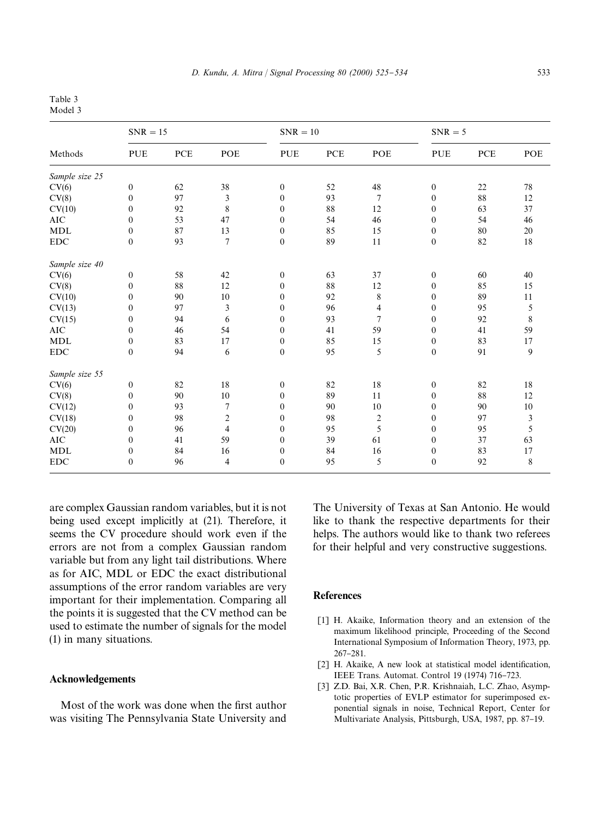#### Table 3 Model 3

| Methods        | $SNR = 15$       |             |                         | $SNR = 10$       |            |                | $SNR = 5$        |             |                         |
|----------------|------------------|-------------|-------------------------|------------------|------------|----------------|------------------|-------------|-------------------------|
|                | <b>PUE</b>       | ${\bf PCE}$ | POE                     | PUE              | <b>PCE</b> | POE            | PUE              | ${\bf PCE}$ | POE                     |
| Sample size 25 |                  |             |                         |                  |            |                |                  |             |                         |
| CV(6)          | $\boldsymbol{0}$ | 62          | 38                      | $\boldsymbol{0}$ | 52         | 48             | $\boldsymbol{0}$ | 22          | $78\,$                  |
| CV(8)          | $\overline{0}$   | 97          | 3                       | $\mathbf{0}$     | 93         | $\overline{7}$ | $\mathbf{0}$     | 88          | 12                      |
| CV(10)         | $\mathbf{0}$     | 92          | 8                       | $\mathbf{0}$     | 88         | 12             | $\mathbf{0}$     | 63          | 37                      |
| <b>AIC</b>     | $\boldsymbol{0}$ | 53          | 47                      | $\mathbf{0}$     | 54         | 46             | $\boldsymbol{0}$ | 54          | 46                      |
| <b>MDL</b>     | $\boldsymbol{0}$ | 87          | 13                      | $\mathbf{0}$     | 85         | 15             | $\mathbf{0}$     | 80          | 20                      |
| ${\rm EDC}$    | $\boldsymbol{0}$ | 93          | $\overline{7}$          | $\boldsymbol{0}$ | 89         | 11             | $\mathbf{0}$     | 82          | 18                      |
| Sample size 40 |                  |             |                         |                  |            |                |                  |             |                         |
| CV(6)          | $\boldsymbol{0}$ | 58          | 42                      | $\boldsymbol{0}$ | 63         | 37             | $\boldsymbol{0}$ | 60          | 40                      |
| CV(8)          | $\boldsymbol{0}$ | 88          | 12                      | $\mathbf{0}$     | 88         | 12             | $\boldsymbol{0}$ | 85          | 15                      |
| CV(10)         | $\mathbf{0}$     | 90          | 10                      | $\mathbf{0}$     | 92         | 8              | $\mathbf{0}$     | 89          | $11\,$                  |
| CV(13)         | $\boldsymbol{0}$ | 97          | 3                       | $\boldsymbol{0}$ | 96         | 4              | $\boldsymbol{0}$ | 95          | 5                       |
| CV(15)         | $\overline{0}$   | 94          | 6                       | $\mathbf{0}$     | 93         | $\overline{7}$ | $\mathbf{0}$     | 92          | $\,$ $\,$               |
| <b>AIC</b>     | $\overline{0}$   | 46          | 54                      | $\mathbf{0}$     | 41         | 59             | $\mathbf{0}$     | 41          | 59                      |
| <b>MDL</b>     | $\boldsymbol{0}$ | 83          | 17                      | $\boldsymbol{0}$ | 85         | 15             | $\boldsymbol{0}$ | 83          | 17                      |
| <b>EDC</b>     | $\boldsymbol{0}$ | 94          | 6                       | $\mathbf{0}$     | 95         | 5              | $\mathbf{0}$     | 91          | 9                       |
| Sample size 55 |                  |             |                         |                  |            |                |                  |             |                         |
| CV(6)          | $\boldsymbol{0}$ | 82          | 18                      | $\mathbf{0}$     | 82         | 18             | $\boldsymbol{0}$ | 82          | 18                      |
| CV(8)          | $\boldsymbol{0}$ | 90          | 10                      | $\mathbf{0}$     | 89         | 11             | $\boldsymbol{0}$ | 88          | 12                      |
| CV(12)         | $\boldsymbol{0}$ | 93          | $\tau$                  | $\mathbf{0}$     | 90         | 10             | $\mathbf{0}$     | 90          | 10                      |
| CV(18)         | $\boldsymbol{0}$ | 98          | $\overline{\mathbf{c}}$ | $\mathbf{0}$     | 98         | 2              | $\mathbf{0}$     | 97          | $\overline{\mathbf{3}}$ |
| CV(20)         | $\boldsymbol{0}$ | 96          | $\overline{4}$          | $\mathbf{0}$     | 95         | 5              | $\mathbf{0}$     | 95          | 5                       |
| <b>AIC</b>     | $\mathbf{0}$     | 41          | 59                      | $\mathbf{0}$     | 39         | 61             | $\mathbf{0}$     | 37          | 63                      |
| <b>MDL</b>     | $\boldsymbol{0}$ | 84          | 16                      | $\boldsymbol{0}$ | 84         | 16             | $\mathbf{0}$     | 83          | 17                      |
| <b>EDC</b>     | $\overline{0}$   | 96          | $\overline{4}$          | $\mathbf{0}$     | 95         | 5              | $\overline{0}$   | 92          | 8                       |

are complex Gaussian random variables, but it is not being used except implicitly at (21). Therefore, it seems the CV procedure should work even if the errors are not from a complex Gaussian random variable but from any light tail distributions. Where as for AIC, MDL or EDC the exact distributional assumptions of the error random variables are very important for their implementation. Comparing all the points it is suggested that the CV method can be used to estimate the number of signals for the model (1) in many situations.

#### Acknowledgements

Most of the work was done when the first author was visiting The Pennsylvania State University and The University of Texas at San Antonio. He would like to thank the respective departments for their helps. The authors would like to thank two referees for their helpful and very constructive suggestions.

#### **References**

- [1] H. Akaike, Information theory and an extension of the maximum likelihood principle, Proceeding of the Second International Symposium of Information Theory, 1973, pp. 267-281.
- [2] H. Akaike, A new look at statistical model identification, IEEE Trans. Automat. Control 19 (1974) 716-723.
- [3] Z.D. Bai, X.R. Chen, P.R. Krishnaiah, L.C. Zhao, Asymptotic properties of EVLP estimator for superimposed exponential signals in noise, Technical Report, Center for Multivariate Analysis, Pittsburgh, USA, 1987, pp. 87-19.